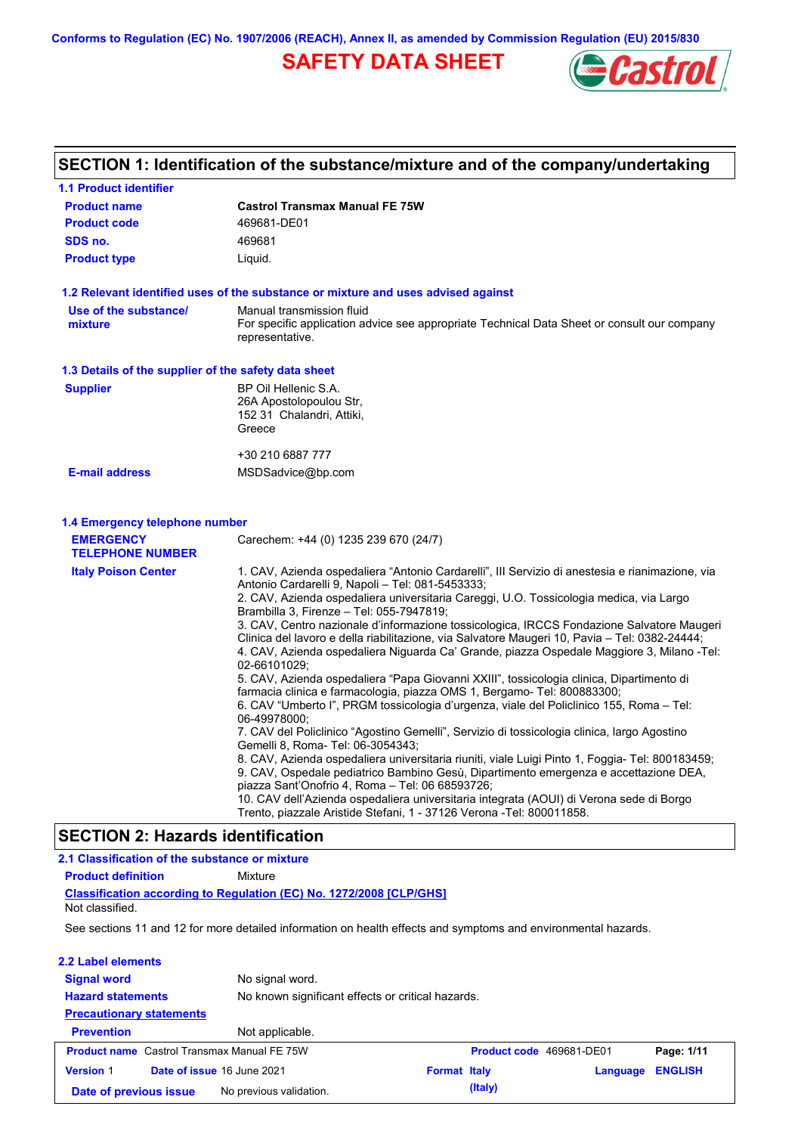**Conforms to Regulation (EC) No. 1907/2006 (REACH), Annex II, as amended by Commission Regulation (EU) 2015/830**

# **SAFETY DATA SHEET**



# **SECTION 1: Identification of the substance/mixture and of the company/undertaking**

| <b>1.1 Product identifier</b>                                    |                                                                                                                                                                                                                                                                                                                                                                                                                                                                                                                                                                                                                                                                                                                                                                                                                                                                                                                                                                                                                                                                                                                                                                                                                                                                                                                                                                                                                                             |
|------------------------------------------------------------------|---------------------------------------------------------------------------------------------------------------------------------------------------------------------------------------------------------------------------------------------------------------------------------------------------------------------------------------------------------------------------------------------------------------------------------------------------------------------------------------------------------------------------------------------------------------------------------------------------------------------------------------------------------------------------------------------------------------------------------------------------------------------------------------------------------------------------------------------------------------------------------------------------------------------------------------------------------------------------------------------------------------------------------------------------------------------------------------------------------------------------------------------------------------------------------------------------------------------------------------------------------------------------------------------------------------------------------------------------------------------------------------------------------------------------------------------|
| <b>Product name</b>                                              | <b>Castrol Transmax Manual FE 75W</b>                                                                                                                                                                                                                                                                                                                                                                                                                                                                                                                                                                                                                                                                                                                                                                                                                                                                                                                                                                                                                                                                                                                                                                                                                                                                                                                                                                                                       |
| <b>Product code</b>                                              | 469681-DE01                                                                                                                                                                                                                                                                                                                                                                                                                                                                                                                                                                                                                                                                                                                                                                                                                                                                                                                                                                                                                                                                                                                                                                                                                                                                                                                                                                                                                                 |
| SDS no.                                                          | 469681                                                                                                                                                                                                                                                                                                                                                                                                                                                                                                                                                                                                                                                                                                                                                                                                                                                                                                                                                                                                                                                                                                                                                                                                                                                                                                                                                                                                                                      |
| <b>Product type</b>                                              | Liquid.                                                                                                                                                                                                                                                                                                                                                                                                                                                                                                                                                                                                                                                                                                                                                                                                                                                                                                                                                                                                                                                                                                                                                                                                                                                                                                                                                                                                                                     |
|                                                                  | 1.2 Relevant identified uses of the substance or mixture and uses advised against                                                                                                                                                                                                                                                                                                                                                                                                                                                                                                                                                                                                                                                                                                                                                                                                                                                                                                                                                                                                                                                                                                                                                                                                                                                                                                                                                           |
| Use of the substance/<br>mixture                                 | Manual transmission fluid<br>For specific application advice see appropriate Technical Data Sheet or consult our company<br>representative.                                                                                                                                                                                                                                                                                                                                                                                                                                                                                                                                                                                                                                                                                                                                                                                                                                                                                                                                                                                                                                                                                                                                                                                                                                                                                                 |
| 1.3 Details of the supplier of the safety data sheet             |                                                                                                                                                                                                                                                                                                                                                                                                                                                                                                                                                                                                                                                                                                                                                                                                                                                                                                                                                                                                                                                                                                                                                                                                                                                                                                                                                                                                                                             |
| <b>Supplier</b>                                                  | BP Oil Hellenic S.A.<br>26A Apostolopoulou Str,<br>152 31 Chalandri, Attiki,<br>Greece                                                                                                                                                                                                                                                                                                                                                                                                                                                                                                                                                                                                                                                                                                                                                                                                                                                                                                                                                                                                                                                                                                                                                                                                                                                                                                                                                      |
|                                                                  | +30 210 6887 777                                                                                                                                                                                                                                                                                                                                                                                                                                                                                                                                                                                                                                                                                                                                                                                                                                                                                                                                                                                                                                                                                                                                                                                                                                                                                                                                                                                                                            |
| <b>E-mail address</b>                                            | MSDSadvice@bp.com                                                                                                                                                                                                                                                                                                                                                                                                                                                                                                                                                                                                                                                                                                                                                                                                                                                                                                                                                                                                                                                                                                                                                                                                                                                                                                                                                                                                                           |
| 1.4 Emergency telephone number                                   |                                                                                                                                                                                                                                                                                                                                                                                                                                                                                                                                                                                                                                                                                                                                                                                                                                                                                                                                                                                                                                                                                                                                                                                                                                                                                                                                                                                                                                             |
| <b>EMERGENCY</b><br><b>TELEPHONE NUMBER</b>                      | Carechem: +44 (0) 1235 239 670 (24/7)                                                                                                                                                                                                                                                                                                                                                                                                                                                                                                                                                                                                                                                                                                                                                                                                                                                                                                                                                                                                                                                                                                                                                                                                                                                                                                                                                                                                       |
| <b>Italy Poison Center</b><br>CECTION 9. Llessade identification | 1. CAV, Azienda ospedaliera "Antonio Cardarelli", III Servizio di anestesia e rianimazione, via<br>Antonio Cardarelli 9, Napoli - Tel: 081-5453333;<br>2. CAV, Azienda ospedaliera universitaria Careggi, U.O. Tossicologia medica, via Largo<br>Brambilla 3, Firenze - Tel: 055-7947819;<br>3. CAV, Centro nazionale d'informazione tossicologica, IRCCS Fondazione Salvatore Maugeri<br>Clinica del lavoro e della riabilitazione, via Salvatore Maugeri 10, Pavia - Tel: 0382-24444;<br>4. CAV, Azienda ospedaliera Niguarda Ca' Grande, piazza Ospedale Maggiore 3, Milano -Tel:<br>02-66101029;<br>5. CAV, Azienda ospedaliera "Papa Giovanni XXIII", tossicologia clinica, Dipartimento di<br>farmacia clinica e farmacologia, piazza OMS 1, Bergamo- Tel: 800883300;<br>6. CAV "Umberto I", PRGM tossicologia d'urgenza, viale del Policlinico 155, Roma - Tel:<br>06-49978000;<br>7. CAV del Policlinico "Agostino Gemelli", Servizio di tossicologia clinica, largo Agostino<br>Gemelli 8, Roma- Tel: 06-3054343;<br>8. CAV, Azienda ospedaliera universitaria riuniti, viale Luigi Pinto 1, Foggia- Tel: 800183459;<br>9. CAV, Ospedale pediatrico Bambino Gesù, Dipartimento emergenza e accettazione DEA,<br>piazza Sant'Onofrio 4, Roma - Tel: 06 68593726;<br>10. CAV dell'Azienda ospedaliera universitaria integrata (AOUI) di Verona sede di Borgo<br>Trento, piazzale Aristide Stefani, 1 - 37126 Verona -Tel: 800011858. |

### **SECTION 2: Hazards identification**

**2.1 Classification of the substance or mixture Product definition** Mixture

| Not classified.                                    | Classification according to Regulation (EC) No. 1272/2008 [CLP/GHS]                                            |                                                   |                          |          |                |  |
|----------------------------------------------------|----------------------------------------------------------------------------------------------------------------|---------------------------------------------------|--------------------------|----------|----------------|--|
|                                                    | See sections 11 and 12 for more detailed information on health effects and symptoms and environmental hazards. |                                                   |                          |          |                |  |
| 2.2 Label elements                                 |                                                                                                                |                                                   |                          |          |                |  |
| <b>Signal word</b>                                 | No signal word.                                                                                                |                                                   |                          |          |                |  |
| <b>Hazard statements</b>                           |                                                                                                                | No known significant effects or critical hazards. |                          |          |                |  |
| <b>Precautionary statements</b>                    |                                                                                                                |                                                   |                          |          |                |  |
| <b>Prevention</b>                                  | Not applicable.                                                                                                |                                                   |                          |          |                |  |
| <b>Product name</b> Castrol Transmax Manual FE 75W |                                                                                                                |                                                   | Product code 469681-DE01 |          | Page: 1/11     |  |
| <b>Version 1</b>                                   | Date of issue 16 June 2021                                                                                     | <b>Format Italy</b>                               |                          | Language | <b>ENGLISH</b> |  |
| Date of previous issue                             | No previous validation.                                                                                        |                                                   | (Italy)                  |          |                |  |
|                                                    |                                                                                                                |                                                   |                          |          |                |  |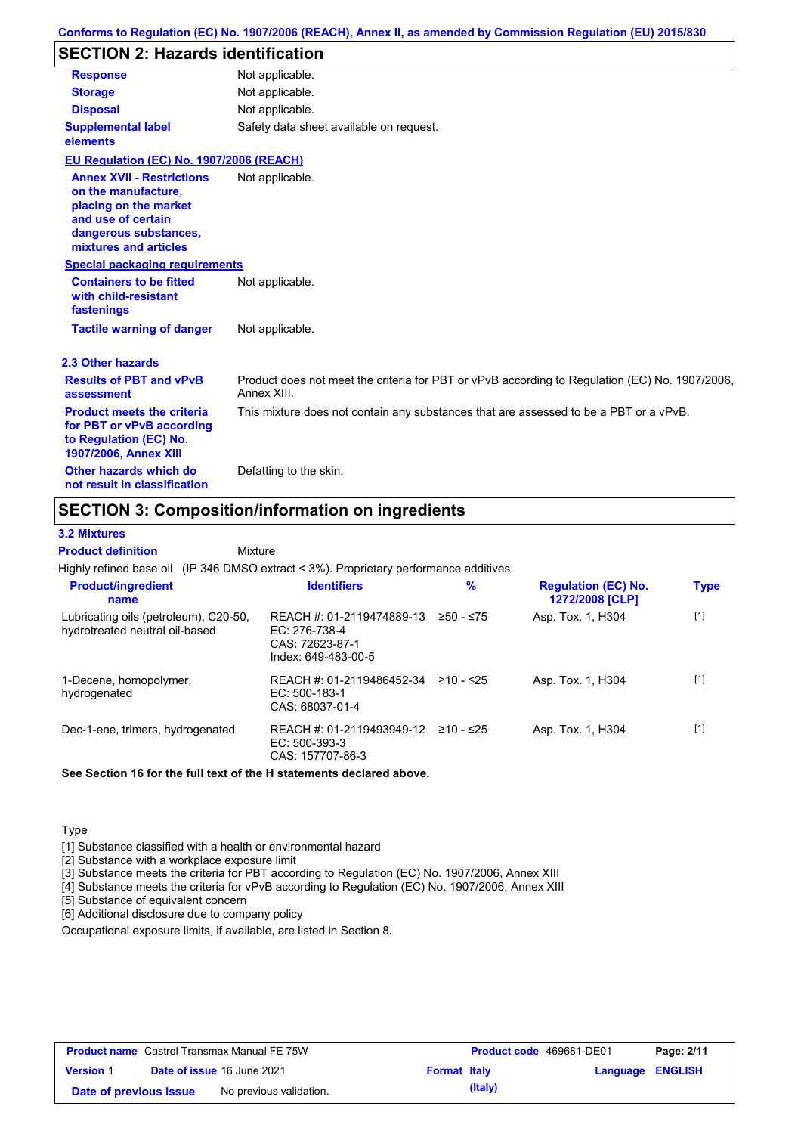# **SECTION 2: Hazards identification**

| <b>Response</b>                                                                                                                                          | Not applicable.                                                                                               |
|----------------------------------------------------------------------------------------------------------------------------------------------------------|---------------------------------------------------------------------------------------------------------------|
| <b>Storage</b>                                                                                                                                           | Not applicable.                                                                                               |
| <b>Disposal</b>                                                                                                                                          | Not applicable.                                                                                               |
| <b>Supplemental label</b><br>elements                                                                                                                    | Safety data sheet available on request.                                                                       |
| <b>EU Regulation (EC) No. 1907/2006 (REACH)</b>                                                                                                          |                                                                                                               |
| <b>Annex XVII - Restrictions</b><br>on the manufacture.<br>placing on the market<br>and use of certain<br>dangerous substances,<br>mixtures and articles | Not applicable.                                                                                               |
| <b>Special packaging requirements</b>                                                                                                                    |                                                                                                               |
| <b>Containers to be fitted</b><br>with child-resistant<br>fastenings                                                                                     | Not applicable.                                                                                               |
| <b>Tactile warning of danger</b>                                                                                                                         | Not applicable.                                                                                               |
| 2.3 Other hazards                                                                                                                                        |                                                                                                               |
| <b>Results of PBT and vPvB</b><br>assessment                                                                                                             | Product does not meet the criteria for PBT or vPvB according to Regulation (EC) No. 1907/2006,<br>Annex XIII. |
| <b>Product meets the criteria</b><br>for PBT or vPvB according<br>to Regulation (EC) No.<br>1907/2006, Annex XIII                                        | This mixture does not contain any substances that are assessed to be a PBT or a vPvB.                         |
| Other hazards which do<br>not result in classification                                                                                                   | Defatting to the skin.                                                                                        |

# **SECTION 3: Composition/information on ingredients**

#### **3.2 Mixtures**

Highly refined base oil (IP 346 DMSO extract < 3%). Proprietary performance additives. Lubricating oils (petroleum), C20-50, hydrotreated neutral oil-based REACH #: 01-2119474889-13 EC: 276-738-4 CAS: 72623-87-1 Index: 649-483-00-5 Asp. Tox. 1, H304 [1] 1-Decene, homopolymer, hydrogenated REACH #: 01-2119486452-34 EC: 500-183-1 CAS: 68037-01-4 Asp. Tox. 1, H304 [1] Dec-1-ene, trimers, hydrogenated REACH #: 01-2119493949-12 ≥10 - ≤25 EC: 500-393-3 CAS: 157707-86-3 Asp. Tox. 1, H304 [1] **Product/ingredient name % Regulation (EC) No. Identifiers Type 1272/2008 [CLP]** Mixture **Product definition**

**See Section 16 for the full text of the H statements declared above.**

### **Type**

[1] Substance classified with a health or environmental hazard

[2] Substance with a workplace exposure limit

[3] Substance meets the criteria for PBT according to Regulation (EC) No. 1907/2006, Annex XIII

[4] Substance meets the criteria for vPvB according to Regulation (EC) No. 1907/2006, Annex XIII

[5] Substance of equivalent concern

[6] Additional disclosure due to company policy

Occupational exposure limits, if available, are listed in Section 8.

| <b>Product name</b> Castrol Transmax Manual FE 75W |  | <b>Product code</b> 469681-DE01   |                     | Page: 2/11 |                         |  |
|----------------------------------------------------|--|-----------------------------------|---------------------|------------|-------------------------|--|
| <b>Version 1</b>                                   |  | <b>Date of issue 16 June 2021</b> | <b>Format Italy</b> |            | <b>Language ENGLISH</b> |  |
| Date of previous issue                             |  | No previous validation.           |                     | (Italy)    |                         |  |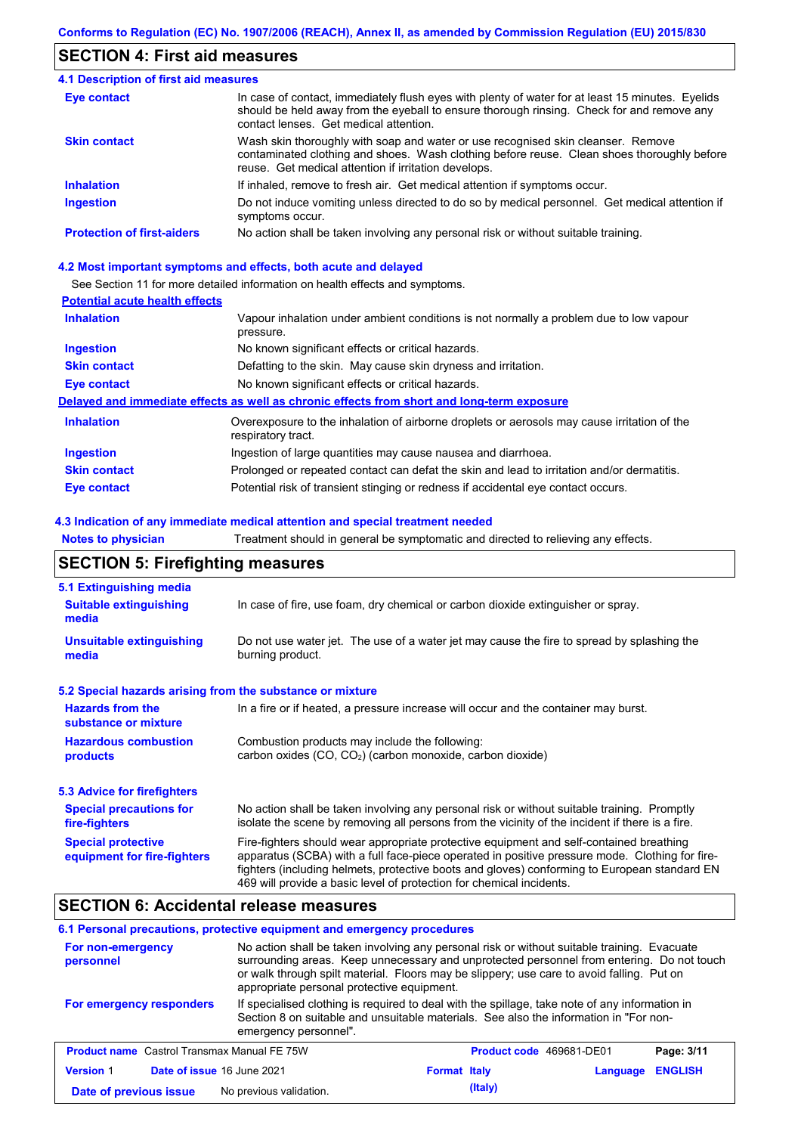# **SECTION 4: First aid measures**

#### Do not induce vomiting unless directed to do so by medical personnel. Get medical attention if symptoms occur. In case of contact, immediately flush eyes with plenty of water for at least 15 minutes. Eyelids should be held away from the eyeball to ensure thorough rinsing. Check for and remove any contact lenses. Get medical attention. **4.1 Description of first aid measures** If inhaled, remove to fresh air. Get medical attention if symptoms occur. **Ingestion Inhalation Eye contact Protection of first-aiders** No action shall be taken involving any personal risk or without suitable training. **Skin contact** Wash skin thoroughly with soap and water or use recognised skin cleanser. Remove contaminated clothing and shoes. Wash clothing before reuse. Clean shoes thoroughly before reuse. Get medical attention if irritation develops.

### **4.2 Most important symptoms and effects, both acute and delayed**

See Section 11 for more detailed information on health effects and symptoms.

### **Potential acute health effects**

| <b>Inhalation</b>   | Vapour inhalation under ambient conditions is not normally a problem due to low vapour                            |
|---------------------|-------------------------------------------------------------------------------------------------------------------|
|                     | pressure.                                                                                                         |
| <b>Ingestion</b>    | No known significant effects or critical hazards.                                                                 |
| <b>Skin contact</b> | Defatting to the skin. May cause skin dryness and irritation.                                                     |
| Eye contact         | No known significant effects or critical hazards.                                                                 |
|                     | Delayed and immediate effects as well as chronic effects from short and long-term exposure                        |
| <b>Inhalation</b>   | Overexposure to the inhalation of airborne droplets or aerosols may cause irritation of the<br>respiratory tract. |
| <b>Ingestion</b>    | Ingestion of large quantities may cause nausea and diarrhoea.                                                     |
| <b>Skin contact</b> | Prolonged or repeated contact can defat the skin and lead to irritation and/or dermatitis.                        |
| Eye contact         | Potential risk of transient stinging or redness if accidental eye contact occurs.                                 |

### **4.3 Indication of any immediate medical attention and special treatment needed**

**Notes to physician** Treatment should in general be symptomatic and directed to relieving any effects.

# **SECTION 5: Firefighting measures**

| 5.1 Extinguishing media                                   |                                                                                                                                                                                                                                                                                                                                                                   |
|-----------------------------------------------------------|-------------------------------------------------------------------------------------------------------------------------------------------------------------------------------------------------------------------------------------------------------------------------------------------------------------------------------------------------------------------|
| <b>Suitable extinguishing</b><br>media                    | In case of fire, use foam, dry chemical or carbon dioxide extinguisher or spray.                                                                                                                                                                                                                                                                                  |
| <b>Unsuitable extinguishing</b><br>media                  | Do not use water jet. The use of a water jet may cause the fire to spread by splashing the<br>burning product.                                                                                                                                                                                                                                                    |
| 5.2 Special hazards arising from the substance or mixture |                                                                                                                                                                                                                                                                                                                                                                   |
| <b>Hazards from the</b><br>substance or mixture           | In a fire or if heated, a pressure increase will occur and the container may burst.                                                                                                                                                                                                                                                                               |
| <b>Hazardous combustion</b><br>products                   | Combustion products may include the following:<br>carbon oxides (CO, CO <sub>2</sub> ) (carbon monoxide, carbon dioxide)                                                                                                                                                                                                                                          |
| 5.3 Advice for firefighters                               |                                                                                                                                                                                                                                                                                                                                                                   |
| <b>Special precautions for</b><br>fire-fighters           | No action shall be taken involving any personal risk or without suitable training. Promptly<br>isolate the scene by removing all persons from the vicinity of the incident if there is a fire.                                                                                                                                                                    |
| <b>Special protective</b><br>equipment for fire-fighters  | Fire-fighters should wear appropriate protective equipment and self-contained breathing<br>apparatus (SCBA) with a full face-piece operated in positive pressure mode. Clothing for fire-<br>fighters (including helmets, protective boots and gloves) conforming to European standard EN<br>469 will provide a basic level of protection for chemical incidents. |

# **SECTION 6: Accidental release measures**

### **6.1 Personal precautions, protective equipment and emergency procedures**

| No action shall be taken involving any personal risk or without suitable training. Evacuate<br>For non-emergency<br>surrounding areas. Keep unnecessary and unprotected personnel from entering. Do not touch<br>personnel<br>or walk through spilt material. Floors may be slippery; use care to avoid falling. Put on<br>appropriate personal protective equipment. |                                                                                                                                                                                                                  |                     |                          |                |  |
|-----------------------------------------------------------------------------------------------------------------------------------------------------------------------------------------------------------------------------------------------------------------------------------------------------------------------------------------------------------------------|------------------------------------------------------------------------------------------------------------------------------------------------------------------------------------------------------------------|---------------------|--------------------------|----------------|--|
| For emergency responders                                                                                                                                                                                                                                                                                                                                              | If specialised clothing is required to deal with the spillage, take note of any information in<br>Section 8 on suitable and unsuitable materials. See also the information in "For non-<br>emergency personnel". |                     |                          |                |  |
| <b>Product name</b> Castrol Transmax Manual FE 75W                                                                                                                                                                                                                                                                                                                    |                                                                                                                                                                                                                  |                     | Product code 469681-DE01 | Page: 3/11     |  |
| <b>Version 1</b><br>Date of issue 16 June 2021                                                                                                                                                                                                                                                                                                                        |                                                                                                                                                                                                                  | <b>Format Italy</b> | Language                 | <b>ENGLISH</b> |  |
| Date of previous issue                                                                                                                                                                                                                                                                                                                                                | No previous validation.                                                                                                                                                                                          | (Italy)             |                          |                |  |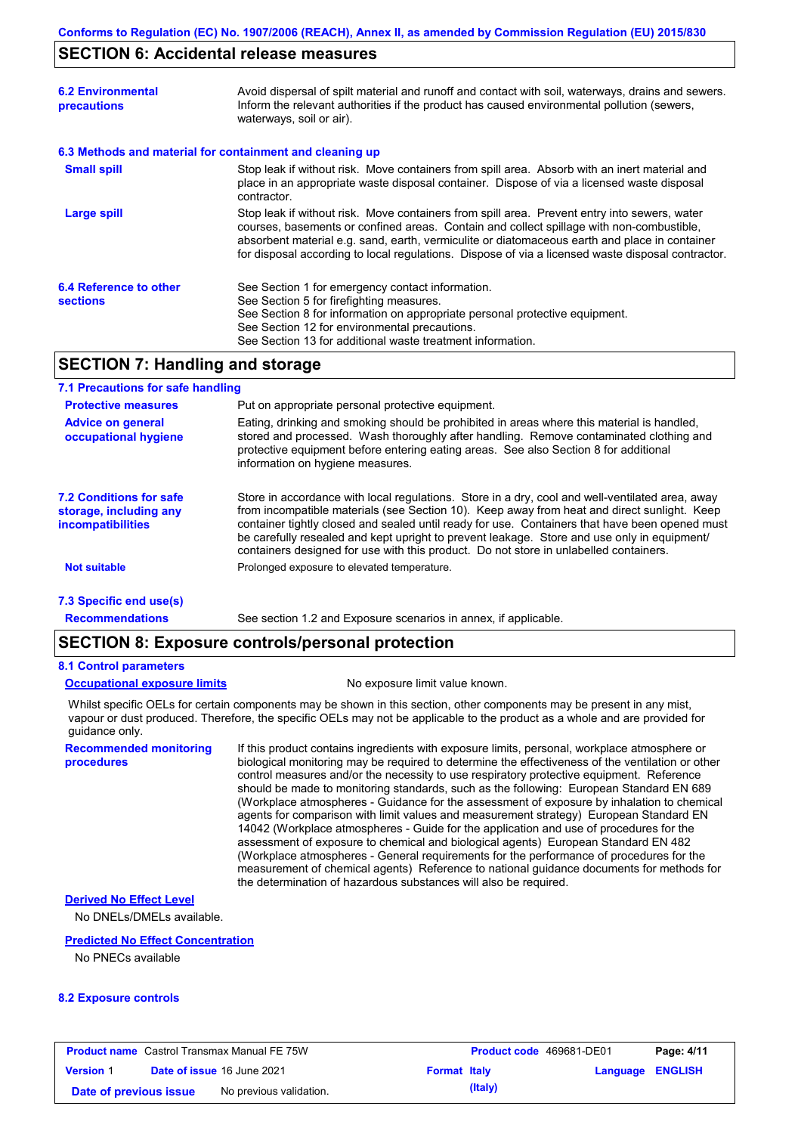### **SECTION 6: Accidental release measures**

| <b>6.2 Environmental</b><br>precautions   | Avoid dispersal of spilt material and runoff and contact with soil, waterways, drains and sewers.<br>Inform the relevant authorities if the product has caused environmental pollution (sewers,<br>waterways, soil or air).                                                                                                                                                                    |
|-------------------------------------------|------------------------------------------------------------------------------------------------------------------------------------------------------------------------------------------------------------------------------------------------------------------------------------------------------------------------------------------------------------------------------------------------|
|                                           | 6.3 Methods and material for containment and cleaning up                                                                                                                                                                                                                                                                                                                                       |
| <b>Small spill</b>                        | Stop leak if without risk. Move containers from spill area. Absorb with an inert material and<br>place in an appropriate waste disposal container. Dispose of via a licensed waste disposal<br>contractor.                                                                                                                                                                                     |
| <b>Large spill</b>                        | Stop leak if without risk. Move containers from spill area. Prevent entry into sewers, water<br>courses, basements or confined areas. Contain and collect spillage with non-combustible,<br>absorbent material e.g. sand, earth, vermiculite or diatomaceous earth and place in container<br>for disposal according to local regulations. Dispose of via a licensed waste disposal contractor. |
| 6.4 Reference to other<br><b>sections</b> | See Section 1 for emergency contact information.<br>See Section 5 for firefighting measures.<br>See Section 8 for information on appropriate personal protective equipment.<br>See Section 12 for environmental precautions.<br>See Section 13 for additional waste treatment information.                                                                                                     |

# **SECTION 7: Handling and storage**

### **7.1 Precautions for safe handling**

| <b>Protective measures</b>                                                           | Put on appropriate personal protective equipment.                                                                                                                                                                                                                                                                                                                                                                                                                                        |
|--------------------------------------------------------------------------------------|------------------------------------------------------------------------------------------------------------------------------------------------------------------------------------------------------------------------------------------------------------------------------------------------------------------------------------------------------------------------------------------------------------------------------------------------------------------------------------------|
| <b>Advice on general</b><br>occupational hygiene                                     | Eating, drinking and smoking should be prohibited in areas where this material is handled,<br>stored and processed. Wash thoroughly after handling. Remove contaminated clothing and<br>protective equipment before entering eating areas. See also Section 8 for additional<br>information on hygiene measures.                                                                                                                                                                         |
| <b>7.2 Conditions for safe</b><br>storage, including any<br><i>incompatibilities</i> | Store in accordance with local requiations. Store in a dry, cool and well-ventilated area, away<br>from incompatible materials (see Section 10). Keep away from heat and direct sunlight. Keep<br>container tightly closed and sealed until ready for use. Containers that have been opened must<br>be carefully resealed and kept upright to prevent leakage. Store and use only in equipment/<br>containers designed for use with this product. Do not store in unlabelled containers. |
| <b>Not suitable</b>                                                                  | Prolonged exposure to elevated temperature.                                                                                                                                                                                                                                                                                                                                                                                                                                              |
| 7.3 Specific end use(s)                                                              |                                                                                                                                                                                                                                                                                                                                                                                                                                                                                          |

**Recommendations**

# See section 1.2 and Exposure scenarios in annex, if applicable.

# **SECTION 8: Exposure controls/personal protection**

### **8.1 Control parameters**

**procedures**

**Occupational exposure limits** No exposure limit value known.

Whilst specific OELs for certain components may be shown in this section, other components may be present in any mist, vapour or dust produced. Therefore, the specific OELs may not be applicable to the product as a whole and are provided for guidance only.

**Recommended monitoring**  If this product contains ingredients with exposure limits, personal, workplace atmosphere or biological monitoring may be required to determine the effectiveness of the ventilation or other control measures and/or the necessity to use respiratory protective equipment. Reference should be made to monitoring standards, such as the following: European Standard EN 689 (Workplace atmospheres - Guidance for the assessment of exposure by inhalation to chemical agents for comparison with limit values and measurement strategy) European Standard EN 14042 (Workplace atmospheres - Guide for the application and use of procedures for the assessment of exposure to chemical and biological agents) European Standard EN 482 (Workplace atmospheres - General requirements for the performance of procedures for the measurement of chemical agents) Reference to national guidance documents for methods for the determination of hazardous substances will also be required.

# **Derived No Effect Level**

No DNELs/DMELs available.

#### **Predicted No Effect Concentration**

No PNECs available

### **8.2 Exposure controls**

| <b>Product name</b> Castrol Transmax Manual FE 75W |  | <b>Product code</b> 469681-DE01 |                     | Page: 4/11 |                         |  |
|----------------------------------------------------|--|---------------------------------|---------------------|------------|-------------------------|--|
| <b>Version 1</b>                                   |  | Date of issue 16 June 2021      | <b>Format Italy</b> |            | <b>Language ENGLISH</b> |  |
| Date of previous issue                             |  | No previous validation.         |                     | (Italy)    |                         |  |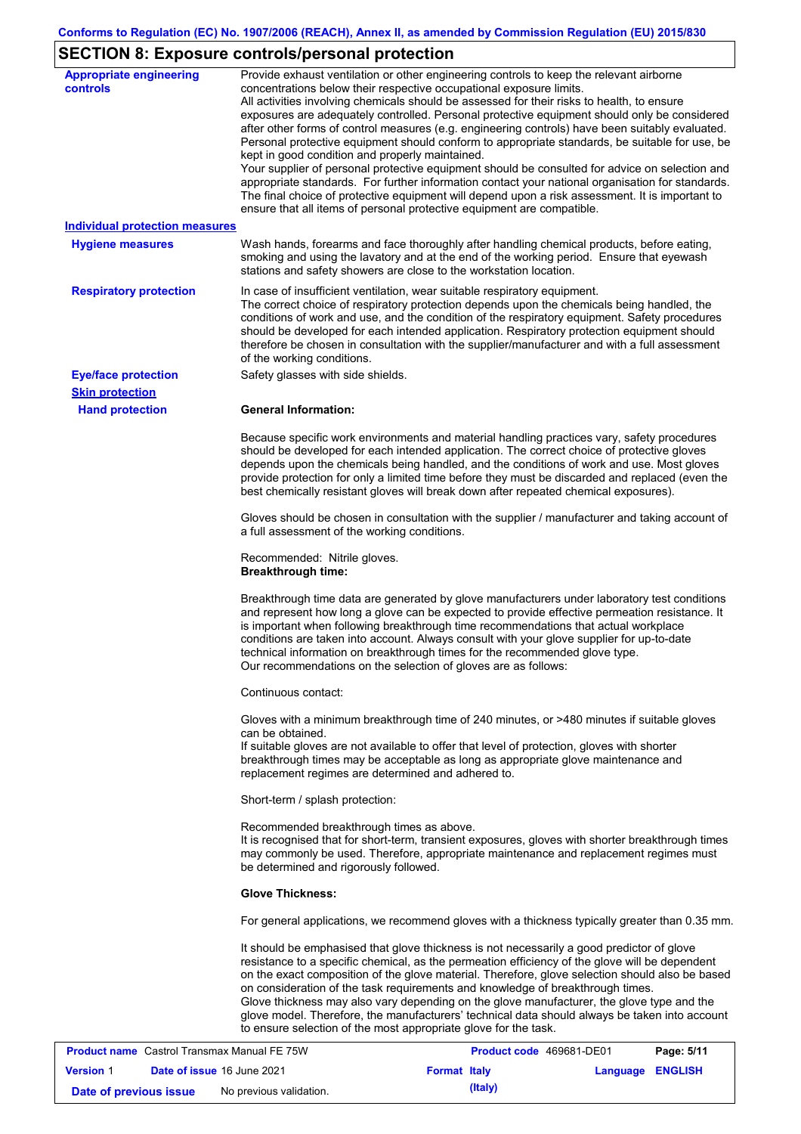# **SECTION 8: Exposure controls/personal protection**

| <b>Appropriate engineering</b><br><b>controls</b>  | Provide exhaust ventilation or other engineering controls to keep the relevant airborne<br>concentrations below their respective occupational exposure limits.<br>All activities involving chemicals should be assessed for their risks to health, to ensure<br>exposures are adequately controlled. Personal protective equipment should only be considered<br>after other forms of control measures (e.g. engineering controls) have been suitably evaluated.<br>Personal protective equipment should conform to appropriate standards, be suitable for use, be<br>kept in good condition and properly maintained.<br>Your supplier of personal protective equipment should be consulted for advice on selection and<br>appropriate standards. For further information contact your national organisation for standards.<br>The final choice of protective equipment will depend upon a risk assessment. It is important to<br>ensure that all items of personal protective equipment are compatible. |
|----------------------------------------------------|---------------------------------------------------------------------------------------------------------------------------------------------------------------------------------------------------------------------------------------------------------------------------------------------------------------------------------------------------------------------------------------------------------------------------------------------------------------------------------------------------------------------------------------------------------------------------------------------------------------------------------------------------------------------------------------------------------------------------------------------------------------------------------------------------------------------------------------------------------------------------------------------------------------------------------------------------------------------------------------------------------|
| <b>Individual protection measures</b>              |                                                                                                                                                                                                                                                                                                                                                                                                                                                                                                                                                                                                                                                                                                                                                                                                                                                                                                                                                                                                         |
| <b>Hygiene measures</b>                            | Wash hands, forearms and face thoroughly after handling chemical products, before eating,<br>smoking and using the lavatory and at the end of the working period. Ensure that eyewash<br>stations and safety showers are close to the workstation location.                                                                                                                                                                                                                                                                                                                                                                                                                                                                                                                                                                                                                                                                                                                                             |
| <b>Respiratory protection</b>                      | In case of insufficient ventilation, wear suitable respiratory equipment.<br>The correct choice of respiratory protection depends upon the chemicals being handled, the<br>conditions of work and use, and the condition of the respiratory equipment. Safety procedures<br>should be developed for each intended application. Respiratory protection equipment should<br>therefore be chosen in consultation with the supplier/manufacturer and with a full assessment<br>of the working conditions.                                                                                                                                                                                                                                                                                                                                                                                                                                                                                                   |
| <b>Eye/face protection</b>                         | Safety glasses with side shields.                                                                                                                                                                                                                                                                                                                                                                                                                                                                                                                                                                                                                                                                                                                                                                                                                                                                                                                                                                       |
| <b>Skin protection</b>                             |                                                                                                                                                                                                                                                                                                                                                                                                                                                                                                                                                                                                                                                                                                                                                                                                                                                                                                                                                                                                         |
| <b>Hand protection</b>                             | <b>General Information:</b>                                                                                                                                                                                                                                                                                                                                                                                                                                                                                                                                                                                                                                                                                                                                                                                                                                                                                                                                                                             |
|                                                    | Because specific work environments and material handling practices vary, safety procedures<br>should be developed for each intended application. The correct choice of protective gloves<br>depends upon the chemicals being handled, and the conditions of work and use. Most gloves<br>provide protection for only a limited time before they must be discarded and replaced (even the<br>best chemically resistant gloves will break down after repeated chemical exposures).                                                                                                                                                                                                                                                                                                                                                                                                                                                                                                                        |
|                                                    | Gloves should be chosen in consultation with the supplier / manufacturer and taking account of<br>a full assessment of the working conditions.                                                                                                                                                                                                                                                                                                                                                                                                                                                                                                                                                                                                                                                                                                                                                                                                                                                          |
|                                                    | Recommended: Nitrile gloves.<br><b>Breakthrough time:</b>                                                                                                                                                                                                                                                                                                                                                                                                                                                                                                                                                                                                                                                                                                                                                                                                                                                                                                                                               |
|                                                    | Breakthrough time data are generated by glove manufacturers under laboratory test conditions<br>and represent how long a glove can be expected to provide effective permeation resistance. It<br>is important when following breakthrough time recommendations that actual workplace<br>conditions are taken into account. Always consult with your glove supplier for up-to-date<br>technical information on breakthrough times for the recommended glove type.<br>Our recommendations on the selection of gloves are as follows:                                                                                                                                                                                                                                                                                                                                                                                                                                                                      |
|                                                    | Continuous contact:                                                                                                                                                                                                                                                                                                                                                                                                                                                                                                                                                                                                                                                                                                                                                                                                                                                                                                                                                                                     |
|                                                    | Gloves with a minimum breakthrough time of 240 minutes, or >480 minutes if suitable gloves<br>can be obtained.<br>If suitable gloves are not available to offer that level of protection, gloves with shorter<br>breakthrough times may be acceptable as long as appropriate glove maintenance and<br>replacement regimes are determined and adhered to.                                                                                                                                                                                                                                                                                                                                                                                                                                                                                                                                                                                                                                                |
|                                                    | Short-term / splash protection:                                                                                                                                                                                                                                                                                                                                                                                                                                                                                                                                                                                                                                                                                                                                                                                                                                                                                                                                                                         |
|                                                    | Recommended breakthrough times as above.<br>It is recognised that for short-term, transient exposures, gloves with shorter breakthrough times<br>may commonly be used. Therefore, appropriate maintenance and replacement regimes must<br>be determined and rigorously followed.                                                                                                                                                                                                                                                                                                                                                                                                                                                                                                                                                                                                                                                                                                                        |
|                                                    | <b>Glove Thickness:</b>                                                                                                                                                                                                                                                                                                                                                                                                                                                                                                                                                                                                                                                                                                                                                                                                                                                                                                                                                                                 |
|                                                    | For general applications, we recommend gloves with a thickness typically greater than 0.35 mm.                                                                                                                                                                                                                                                                                                                                                                                                                                                                                                                                                                                                                                                                                                                                                                                                                                                                                                          |
|                                                    | It should be emphasised that glove thickness is not necessarily a good predictor of glove<br>resistance to a specific chemical, as the permeation efficiency of the glove will be dependent<br>on the exact composition of the glove material. Therefore, glove selection should also be based<br>on consideration of the task requirements and knowledge of breakthrough times.<br>Glove thickness may also vary depending on the glove manufacturer, the glove type and the<br>glove model. Therefore, the manufacturers' technical data should always be taken into account<br>to ensure selection of the most appropriate glove for the task.                                                                                                                                                                                                                                                                                                                                                       |
| <b>Product name</b> Castrol Transmay Manual FF 75W | $P$ ane: 5/11<br><b>Product code</b> 469681-DE01                                                                                                                                                                                                                                                                                                                                                                                                                                                                                                                                                                                                                                                                                                                                                                                                                                                                                                                                                        |

| <b>Product name</b> Castrol Transmax Manual FE 75W |  |                                   | <b>Product code</b> 469681-DE01 | Page: 5/11 |                  |  |
|----------------------------------------------------|--|-----------------------------------|---------------------------------|------------|------------------|--|
| <b>Version 1</b>                                   |  | <b>Date of issue 16 June 2021</b> | <b>Format Italy</b>             |            | Language ENGLISH |  |
| Date of previous issue                             |  | No previous validation.           |                                 | (Italy)    |                  |  |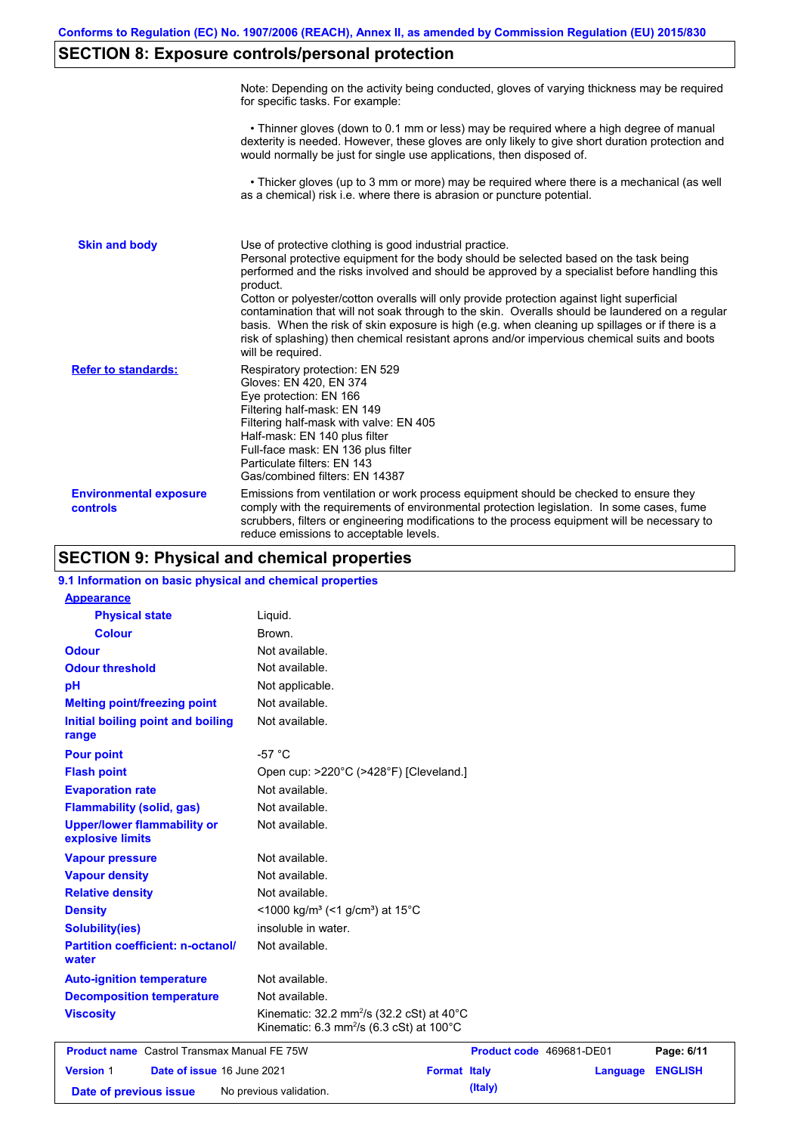# **SECTION 8: Exposure controls/personal protection**

|                                           | Note: Depending on the activity being conducted, gloves of varying thickness may be required<br>for specific tasks. For example:                                                                                                                                                                                                                                                                                                                                                                                                                                                                                                                                                      |
|-------------------------------------------|---------------------------------------------------------------------------------------------------------------------------------------------------------------------------------------------------------------------------------------------------------------------------------------------------------------------------------------------------------------------------------------------------------------------------------------------------------------------------------------------------------------------------------------------------------------------------------------------------------------------------------------------------------------------------------------|
|                                           | • Thinner gloves (down to 0.1 mm or less) may be required where a high degree of manual<br>dexterity is needed. However, these gloves are only likely to give short duration protection and<br>would normally be just for single use applications, then disposed of.                                                                                                                                                                                                                                                                                                                                                                                                                  |
|                                           | • Thicker gloves (up to 3 mm or more) may be required where there is a mechanical (as well<br>as a chemical) risk i.e. where there is abrasion or puncture potential.                                                                                                                                                                                                                                                                                                                                                                                                                                                                                                                 |
| <b>Skin and body</b>                      | Use of protective clothing is good industrial practice.<br>Personal protective equipment for the body should be selected based on the task being<br>performed and the risks involved and should be approved by a specialist before handling this<br>product.<br>Cotton or polyester/cotton overalls will only provide protection against light superficial<br>contamination that will not soak through to the skin. Overalls should be laundered on a regular<br>basis. When the risk of skin exposure is high (e.g. when cleaning up spillages or if there is a<br>risk of splashing) then chemical resistant aprons and/or impervious chemical suits and boots<br>will be required. |
| <b>Refer to standards:</b>                | Respiratory protection: EN 529<br>Gloves: EN 420, EN 374<br>Eye protection: EN 166<br>Filtering half-mask: EN 149<br>Filtering half-mask with valve: EN 405<br>Half-mask: EN 140 plus filter<br>Full-face mask: EN 136 plus filter<br>Particulate filters: EN 143<br>Gas/combined filters: EN 14387                                                                                                                                                                                                                                                                                                                                                                                   |
| <b>Environmental exposure</b><br>controls | Emissions from ventilation or work process equipment should be checked to ensure they<br>comply with the requirements of environmental protection legislation. In some cases, fume<br>scrubbers, filters or engineering modifications to the process equipment will be necessary to<br>reduce emissions to acceptable levels.                                                                                                                                                                                                                                                                                                                                                         |

# **SECTION 9: Physical and chemical properties**

| 9.1 Information on basic physical and chemical properties |                                                                                                               |                     |                          |                |
|-----------------------------------------------------------|---------------------------------------------------------------------------------------------------------------|---------------------|--------------------------|----------------|
| <b>Appearance</b>                                         |                                                                                                               |                     |                          |                |
| <b>Physical state</b>                                     | Liquid.                                                                                                       |                     |                          |                |
| <b>Colour</b>                                             | Brown.                                                                                                        |                     |                          |                |
| <b>Odour</b>                                              | Not available.                                                                                                |                     |                          |                |
| <b>Odour threshold</b>                                    | Not available.                                                                                                |                     |                          |                |
| pH                                                        | Not applicable.                                                                                               |                     |                          |                |
| <b>Melting point/freezing point</b>                       | Not available.                                                                                                |                     |                          |                |
| Initial boiling point and boiling<br>range                | Not available.                                                                                                |                     |                          |                |
| <b>Pour point</b>                                         | $-57^{\circ}$ C                                                                                               |                     |                          |                |
| <b>Flash point</b>                                        | Open cup: >220°C (>428°F) [Cleveland.]                                                                        |                     |                          |                |
| <b>Evaporation rate</b>                                   | Not available.                                                                                                |                     |                          |                |
| <b>Flammability (solid, gas)</b>                          | Not available.                                                                                                |                     |                          |                |
| <b>Upper/lower flammability or</b><br>explosive limits    | Not available.                                                                                                |                     |                          |                |
| <b>Vapour pressure</b>                                    | Not available.                                                                                                |                     |                          |                |
| <b>Vapour density</b>                                     | Not available.                                                                                                |                     |                          |                |
| <b>Relative density</b>                                   | Not available.                                                                                                |                     |                          |                |
| <b>Density</b>                                            | $<$ 1000 kg/m <sup>3</sup> (<1 g/cm <sup>3</sup> ) at 15 <sup>°</sup> C                                       |                     |                          |                |
| <b>Solubility(ies)</b>                                    | insoluble in water.                                                                                           |                     |                          |                |
| <b>Partition coefficient: n-octanol/</b><br>water         | Not available.                                                                                                |                     |                          |                |
| <b>Auto-ignition temperature</b>                          | Not available.                                                                                                |                     |                          |                |
| <b>Decomposition temperature</b>                          | Not available.                                                                                                |                     |                          |                |
| <b>Viscosity</b>                                          | Kinematic: 32.2 mm <sup>2</sup> /s (32.2 cSt) at 40°C<br>Kinematic: 6.3 mm <sup>2</sup> /s (6.3 cSt) at 100°C |                     |                          |                |
| <b>Product name</b> Castrol Transmax Manual FE 75W        |                                                                                                               |                     | Product code 469681-DE01 | Page: 6/11     |
| <b>Version 1</b><br>Date of issue 16 June 2021            |                                                                                                               | <b>Format Italy</b> | Language                 | <b>ENGLISH</b> |
| No previous validation.<br>Date of previous issue         | (Italy)                                                                                                       |                     |                          |                |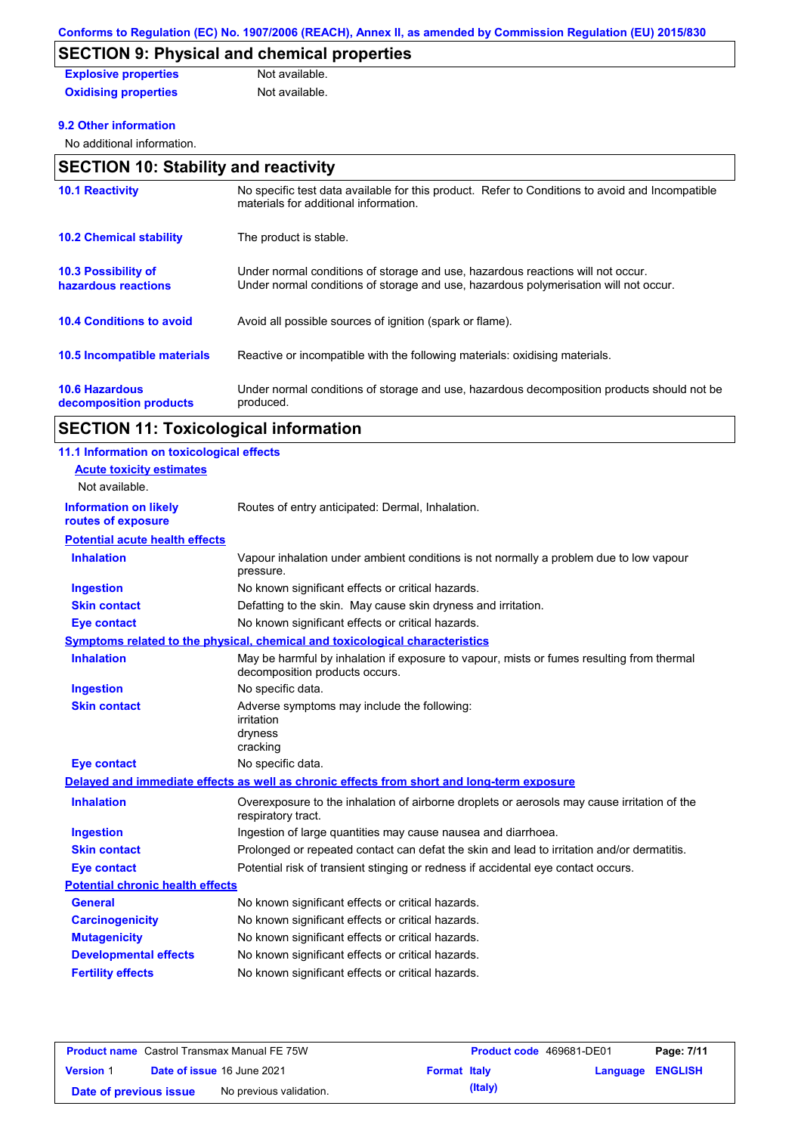# **SECTION 9: Physical and chemical properties**

| <b>Explosive properties</b> | Not available. |
|-----------------------------|----------------|
| <b>Oxidising properties</b> | Not available. |

### **9.2 Other information**

No additional information.

# **SECTION 10: Stability and reactivity**

| <b>10.1 Reactivity</b>                            | No specific test data available for this product. Refer to Conditions to avoid and Incompatible<br>materials for additional information.                                |
|---------------------------------------------------|-------------------------------------------------------------------------------------------------------------------------------------------------------------------------|
| <b>10.2 Chemical stability</b>                    | The product is stable.                                                                                                                                                  |
| <b>10.3 Possibility of</b><br>hazardous reactions | Under normal conditions of storage and use, hazardous reactions will not occur.<br>Under normal conditions of storage and use, hazardous polymerisation will not occur. |
| <b>10.4 Conditions to avoid</b>                   | Avoid all possible sources of ignition (spark or flame).                                                                                                                |
| 10.5 Incompatible materials                       | Reactive or incompatible with the following materials: oxidising materials.                                                                                             |
| <b>10.6 Hazardous</b><br>decomposition products   | Under normal conditions of storage and use, hazardous decomposition products should not be<br>produced.                                                                 |

# **SECTION 11: Toxicological information**

| 11.1 Information on toxicological effects          |                                                                                                                             |
|----------------------------------------------------|-----------------------------------------------------------------------------------------------------------------------------|
| <b>Acute toxicity estimates</b>                    |                                                                                                                             |
| Not available.                                     |                                                                                                                             |
| <b>Information on likely</b><br>routes of exposure | Routes of entry anticipated: Dermal, Inhalation.                                                                            |
| <b>Potential acute health effects</b>              |                                                                                                                             |
| <b>Inhalation</b>                                  | Vapour inhalation under ambient conditions is not normally a problem due to low vapour<br>pressure.                         |
| <b>Ingestion</b>                                   | No known significant effects or critical hazards.                                                                           |
| <b>Skin contact</b>                                | Defatting to the skin. May cause skin dryness and irritation.                                                               |
| <b>Eye contact</b>                                 | No known significant effects or critical hazards.                                                                           |
|                                                    | <b>Symptoms related to the physical, chemical and toxicological characteristics</b>                                         |
| <b>Inhalation</b>                                  | May be harmful by inhalation if exposure to vapour, mists or fumes resulting from thermal<br>decomposition products occurs. |
| <b>Ingestion</b>                                   | No specific data.                                                                                                           |
| <b>Skin contact</b>                                | Adverse symptoms may include the following:<br>irritation<br>dryness<br>cracking                                            |
| <b>Eye contact</b>                                 | No specific data.                                                                                                           |
|                                                    | Delayed and immediate effects as well as chronic effects from short and long-term exposure                                  |
| <b>Inhalation</b>                                  | Overexposure to the inhalation of airborne droplets or aerosols may cause irritation of the<br>respiratory tract.           |
| <b>Ingestion</b>                                   | Ingestion of large quantities may cause nausea and diarrhoea.                                                               |
| <b>Skin contact</b>                                | Prolonged or repeated contact can defat the skin and lead to irritation and/or dermatitis.                                  |
| <b>Eye contact</b>                                 | Potential risk of transient stinging or redness if accidental eye contact occurs.                                           |
| <b>Potential chronic health effects</b>            |                                                                                                                             |
| <b>General</b>                                     | No known significant effects or critical hazards.                                                                           |
| <b>Carcinogenicity</b>                             | No known significant effects or critical hazards.                                                                           |
| <b>Mutagenicity</b>                                | No known significant effects or critical hazards.                                                                           |
| <b>Developmental effects</b>                       | No known significant effects or critical hazards.                                                                           |
| <b>Fertility effects</b>                           | No known significant effects or critical hazards.                                                                           |

| <b>Product name</b> Castrol Transmax Manual FE 75W |  | <b>Product code</b> 469681-DE01   |                     | Page: 7/11 |                         |  |
|----------------------------------------------------|--|-----------------------------------|---------------------|------------|-------------------------|--|
| <b>Version 1</b>                                   |  | <b>Date of issue 16 June 2021</b> | <b>Format Italy</b> |            | <b>Language ENGLISH</b> |  |
| Date of previous issue                             |  | No previous validation.           |                     | (Italy)    |                         |  |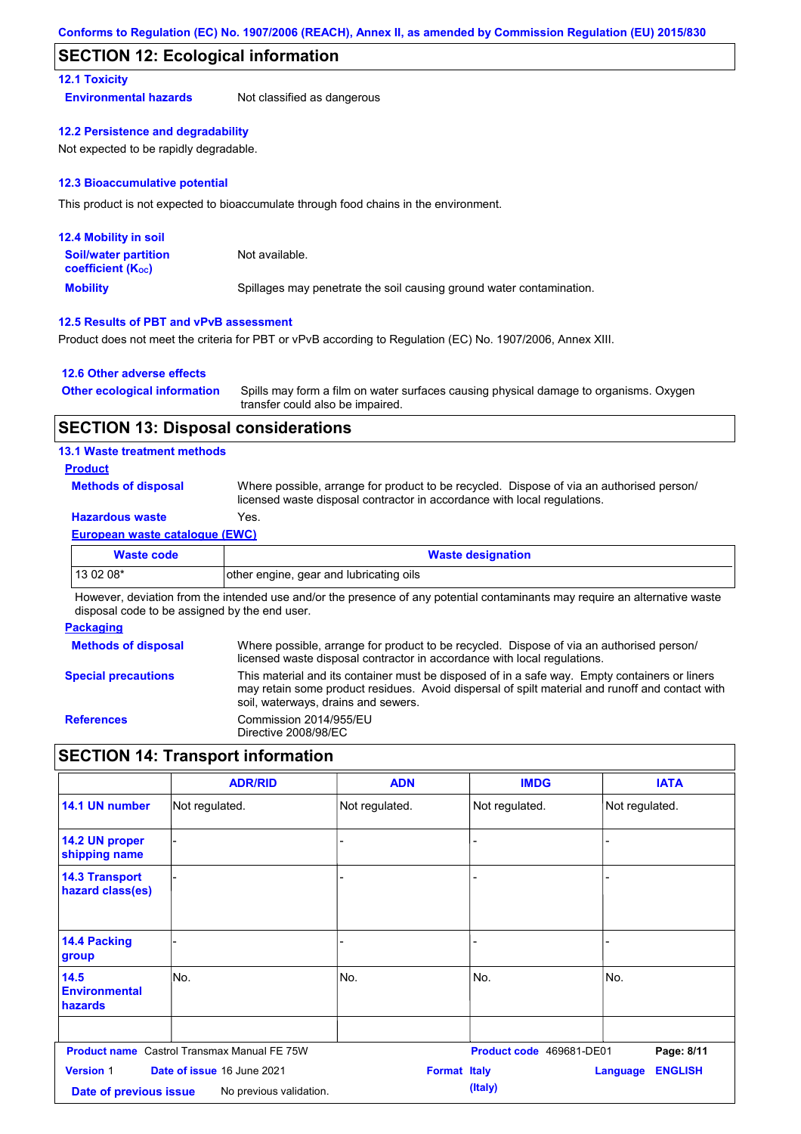### **SECTION 12: Ecological information**

### **12.1 Toxicity**

**Environmental hazards** Not classified as dangerous

#### **12.2 Persistence and degradability**

Not expected to be rapidly degradable.

### **12.3 Bioaccumulative potential**

This product is not expected to bioaccumulate through food chains in the environment.

| <b>12.4 Mobility in soil</b>                            |                                                                      |
|---------------------------------------------------------|----------------------------------------------------------------------|
| <b>Soil/water partition</b><br><b>coefficient (Koc)</b> | Not available.                                                       |
| <b>Mobility</b>                                         | Spillages may penetrate the soil causing ground water contamination. |

### **12.5 Results of PBT and vPvB assessment**

Product does not meet the criteria for PBT or vPvB according to Regulation (EC) No. 1907/2006, Annex XIII.

### **12.6 Other adverse effects**

| <b>Other ecological information</b> | Spills may form a film on water surfaces causing physical damage to organisms. Oxygen |
|-------------------------------------|---------------------------------------------------------------------------------------|
|                                     | transfer could also be impaired.                                                      |

### **SECTION 13: Disposal considerations**

### **13.1 Waste treatment methods**

### **Product**

**Methods of disposal**

Where possible, arrange for product to be recycled. Dispose of via an authorised person/ licensed waste disposal contractor in accordance with local regulations.

# **Hazardous waste** Yes.

### **European waste catalogue (EWC)**

| <b>Waste code</b> | <b>Waste designation</b>                |  |  |
|-------------------|-----------------------------------------|--|--|
| $130208*$         | other engine, gear and lubricating oils |  |  |
| .<br>.            | .<br>.<br>.<br>$\cdots$                 |  |  |

However, deviation from the intended use and/or the presence of any potential contaminants may require an alternative waste disposal code to be assigned by the end user.

### **Packaging**

| <b>Methods of disposal</b> | Where possible, arrange for product to be recycled. Dispose of via an authorised person/<br>licensed waste disposal contractor in accordance with local regulations.                                                                    |
|----------------------------|-----------------------------------------------------------------------------------------------------------------------------------------------------------------------------------------------------------------------------------------|
| <b>Special precautions</b> | This material and its container must be disposed of in a safe way. Empty containers or liners<br>may retain some product residues. Avoid dispersal of spilt material and runoff and contact with<br>soil, waterways, drains and sewers. |
| <b>References</b>          | Commission 2014/955/EU<br>Directive 2008/98/EC                                                                                                                                                                                          |

# **SECTION 14: Transport information**

|                                            | <b>ADR/RID</b>                                        | <b>ADN</b>               | <b>IMDG</b>              | <b>IATA</b>                       |
|--------------------------------------------|-------------------------------------------------------|--------------------------|--------------------------|-----------------------------------|
| 14.1 UN number                             | Not regulated.                                        | Not regulated.           | Not regulated.           | Not regulated.                    |
| 14.2 UN proper<br>shipping name            |                                                       | $\overline{\phantom{0}}$ |                          |                                   |
| <b>14.3 Transport</b><br>hazard class(es)  |                                                       |                          |                          |                                   |
| <b>14.4 Packing</b><br>group               |                                                       | L.                       |                          |                                   |
| 14.5<br><b>Environmental</b><br>hazards    | No.                                                   | No.                      | No.                      | No.                               |
|                                            | <b>Product name</b> Castrol Transmax Manual FE 75W    |                          | Product code 469681-DE01 | Page: 8/11                        |
| <b>Version 1</b><br>Date of previous issue | Date of issue 16 June 2021<br>No previous validation. | <b>Format Italy</b>      | (Italy)                  | <b>ENGLISH</b><br><b>Language</b> |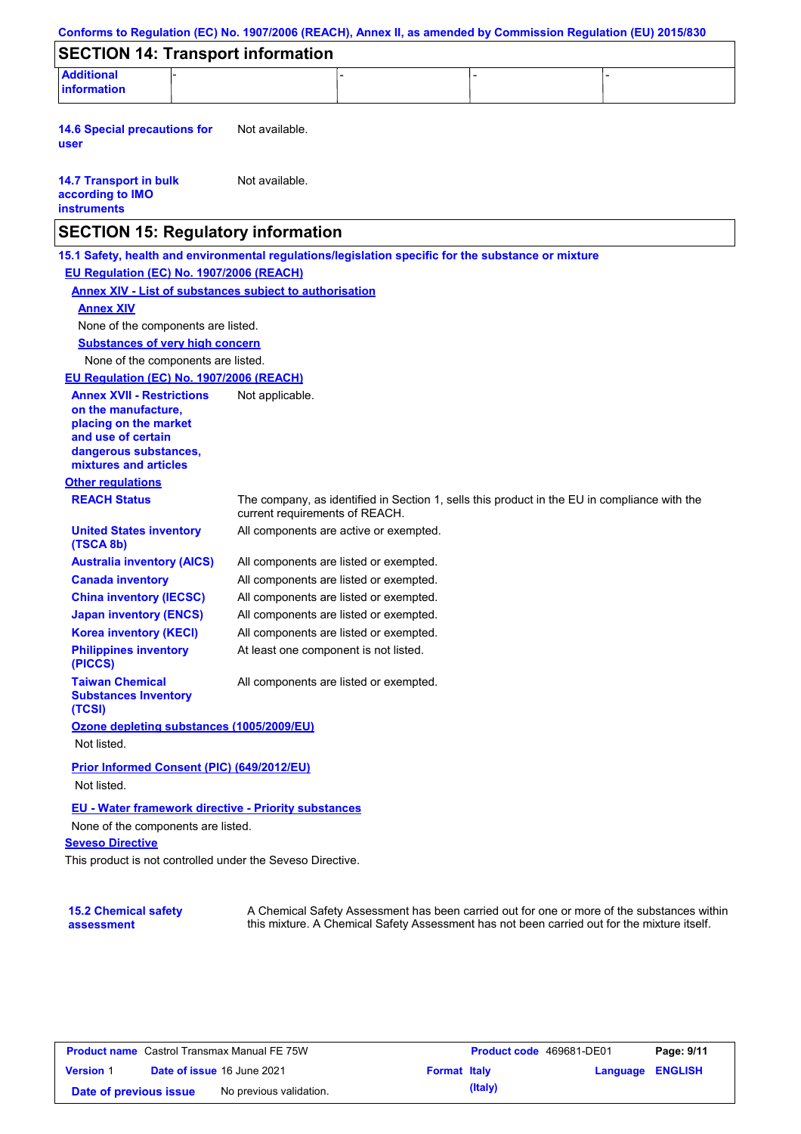|                                                                                                                                                          |                                        | Conforms to Regulation (EC) No. 1907/2006 (REACH), Annex II, as amended by Commission Regulation (EU) 2015/830 |
|----------------------------------------------------------------------------------------------------------------------------------------------------------|----------------------------------------|----------------------------------------------------------------------------------------------------------------|
| <b>SECTION 14: Transport information</b>                                                                                                                 |                                        |                                                                                                                |
| <b>Additional</b><br><b>information</b>                                                                                                                  |                                        |                                                                                                                |
| <b>14.6 Special precautions for</b><br>user                                                                                                              | Not available.                         |                                                                                                                |
| <b>14.7 Transport in bulk</b><br>according to IMO<br><b>instruments</b>                                                                                  | Not available.                         |                                                                                                                |
| <b>SECTION 15: Regulatory information</b>                                                                                                                |                                        |                                                                                                                |
| 15.1 Safety, health and environmental regulations/legislation specific for the substance or mixture                                                      |                                        |                                                                                                                |
| EU Regulation (EC) No. 1907/2006 (REACH)                                                                                                                 |                                        |                                                                                                                |
| <b>Annex XIV - List of substances subject to authorisation</b>                                                                                           |                                        |                                                                                                                |
| <b>Annex XIV</b>                                                                                                                                         |                                        |                                                                                                                |
| None of the components are listed.                                                                                                                       |                                        |                                                                                                                |
| <b>Substances of very high concern</b>                                                                                                                   |                                        |                                                                                                                |
| None of the components are listed.                                                                                                                       |                                        |                                                                                                                |
| EU Regulation (EC) No. 1907/2006 (REACH)                                                                                                                 |                                        |                                                                                                                |
| <b>Annex XVII - Restrictions</b><br>on the manufacture,<br>placing on the market<br>and use of certain<br>dangerous substances,<br>mixtures and articles | Not applicable.                        |                                                                                                                |
| <b>Other regulations</b>                                                                                                                                 |                                        |                                                                                                                |
| <b>REACH Status</b>                                                                                                                                      | current requirements of REACH.         | The company, as identified in Section 1, sells this product in the EU in compliance with the                   |
| <b>United States inventory</b><br>(TSCA 8b)                                                                                                              | All components are active or exempted. |                                                                                                                |
| <b>Australia inventory (AICS)</b>                                                                                                                        | All components are listed or exempted. |                                                                                                                |
| <b>Canada inventory</b>                                                                                                                                  | All components are listed or exempted. |                                                                                                                |
| <b>China inventory (IECSC)</b>                                                                                                                           | All components are listed or exempted. |                                                                                                                |
| <b>Japan inventory (ENCS)</b>                                                                                                                            | All components are listed or exempted. |                                                                                                                |
| <b>Korea inventory (KECI)</b>                                                                                                                            | All components are listed or exempted. |                                                                                                                |
| <b>Philippines inventory</b><br>(PICCS)                                                                                                                  | At least one component is not listed.  |                                                                                                                |
| <b>Taiwan Chemical</b><br><b>Substances Inventory</b><br>(TCSI)                                                                                          | All components are listed or exempted. |                                                                                                                |
| Ozone depleting substances (1005/2009/EU)                                                                                                                |                                        |                                                                                                                |
| Not listed.                                                                                                                                              |                                        |                                                                                                                |
| Prior Informed Consent (PIC) (649/2012/EU)<br>Not listed.                                                                                                |                                        |                                                                                                                |
| <b>EU - Water framework directive - Priority substances</b>                                                                                              |                                        |                                                                                                                |
| None of the components are listed.                                                                                                                       |                                        |                                                                                                                |
| <b>Seveso Directive</b>                                                                                                                                  |                                        |                                                                                                                |
| This product is not controlled under the Seveso Directive.                                                                                               |                                        |                                                                                                                |
|                                                                                                                                                          |                                        |                                                                                                                |
|                                                                                                                                                          |                                        |                                                                                                                |

| <b>Product name</b> Castrol Transmax Manual FE 75W |  |                                                   |  | <b>Product code</b> 469681-DE01 | Page: 9/11       |  |
|----------------------------------------------------|--|---------------------------------------------------|--|---------------------------------|------------------|--|
| <b>Version 1</b>                                   |  | Date of issue 16 June 2021<br><b>Format Italy</b> |  |                                 | Language ENGLISH |  |
| Date of previous issue                             |  | No previous validation.                           |  | (Italy)                         |                  |  |

A Chemical Safety Assessment has been carried out for one or more of the substances within this mixture. A Chemical Safety Assessment has not been carried out for the mixture itself.

**15.2 Chemical safety** 

**assessment**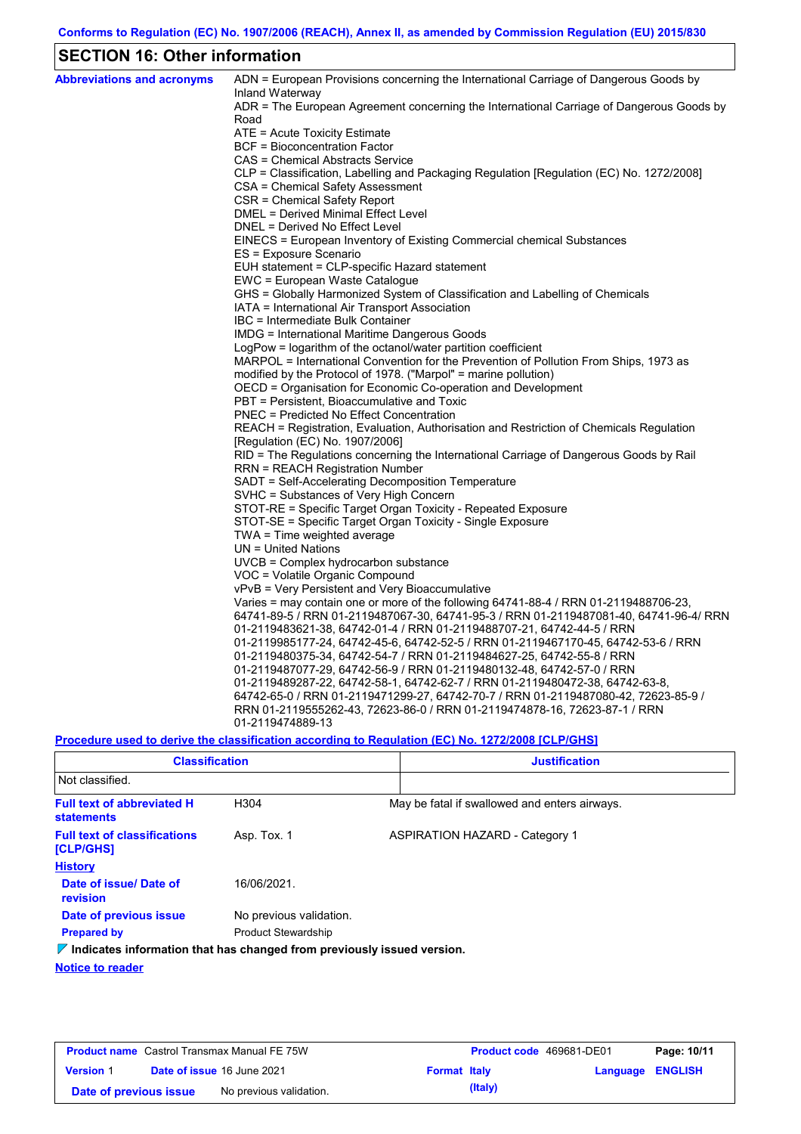# **SECTION 16: Other information**

| <b>Abbreviations and acronyms</b> | ADN = European Provisions concerning the International Carriage of Dangerous Goods by<br>Inland Waterway |
|-----------------------------------|----------------------------------------------------------------------------------------------------------|
|                                   | ADR = The European Agreement concerning the International Carriage of Dangerous Goods by<br>Road         |
|                                   | ATE = Acute Toxicity Estimate                                                                            |
|                                   | BCF = Bioconcentration Factor                                                                            |
|                                   | CAS = Chemical Abstracts Service                                                                         |
|                                   | CLP = Classification, Labelling and Packaging Regulation [Regulation (EC) No. 1272/2008]                 |
|                                   | CSA = Chemical Safety Assessment                                                                         |
|                                   | CSR = Chemical Safety Report                                                                             |
|                                   | DMEL = Derived Minimal Effect Level                                                                      |
|                                   | DNEL = Derived No Effect Level                                                                           |
|                                   | EINECS = European Inventory of Existing Commercial chemical Substances                                   |
|                                   | ES = Exposure Scenario                                                                                   |
|                                   | EUH statement = CLP-specific Hazard statement                                                            |
|                                   | EWC = European Waste Catalogue                                                                           |
|                                   | GHS = Globally Harmonized System of Classification and Labelling of Chemicals                            |
|                                   | IATA = International Air Transport Association                                                           |
|                                   | IBC = Intermediate Bulk Container                                                                        |
|                                   | IMDG = International Maritime Dangerous Goods                                                            |
|                                   | LogPow = logarithm of the octanol/water partition coefficient                                            |
|                                   | MARPOL = International Convention for the Prevention of Pollution From Ships, 1973 as                    |
|                                   | modified by the Protocol of 1978. ("Marpol" = marine pollution)                                          |
|                                   | OECD = Organisation for Economic Co-operation and Development                                            |
|                                   | PBT = Persistent, Bioaccumulative and Toxic                                                              |
|                                   | <b>PNEC = Predicted No Effect Concentration</b>                                                          |
|                                   | REACH = Registration, Evaluation, Authorisation and Restriction of Chemicals Regulation                  |
|                                   | [Regulation (EC) No. 1907/2006]                                                                          |
|                                   | RID = The Regulations concerning the International Carriage of Dangerous Goods by Rail                   |
|                                   | RRN = REACH Registration Number                                                                          |
|                                   | SADT = Self-Accelerating Decomposition Temperature<br>SVHC = Substances of Very High Concern             |
|                                   | STOT-RE = Specific Target Organ Toxicity - Repeated Exposure                                             |
|                                   | STOT-SE = Specific Target Organ Toxicity - Single Exposure                                               |
|                                   | TWA = Time weighted average                                                                              |
|                                   | $UN = United Nations$                                                                                    |
|                                   | UVCB = Complex hydrocarbon substance                                                                     |
|                                   | VOC = Volatile Organic Compound                                                                          |
|                                   | vPvB = Very Persistent and Very Bioaccumulative                                                          |
|                                   | Varies = may contain one or more of the following 64741-88-4 / RRN 01-2119488706-23,                     |
|                                   | 64741-89-5 / RRN 01-2119487067-30, 64741-95-3 / RRN 01-2119487081-40, 64741-96-4/ RRN                    |
|                                   | 01-2119483621-38, 64742-01-4 / RRN 01-2119488707-21, 64742-44-5 / RRN                                    |
|                                   | 01-2119985177-24, 64742-45-6, 64742-52-5 / RRN 01-2119467170-45, 64742-53-6 / RRN                        |
|                                   | 01-2119480375-34, 64742-54-7 / RRN 01-2119484627-25, 64742-55-8 / RRN                                    |
|                                   | 01-2119487077-29, 64742-56-9 / RRN 01-2119480132-48, 64742-57-0 / RRN                                    |
|                                   | 01-2119489287-22, 64742-58-1, 64742-62-7 / RRN 01-2119480472-38, 64742-63-8,                             |
|                                   | 64742-65-0 / RRN 01-2119471299-27, 64742-70-7 / RRN 01-2119487080-42, 72623-85-9 /                       |
|                                   | RRN 01-2119555262-43, 72623-86-0 / RRN 01-2119474878-16, 72623-87-1 / RRN                                |
|                                   | 01-2119474889-13                                                                                         |
|                                   |                                                                                                          |

**Procedure used to derive the classification according to Regulation (EC) No. 1272/2008 [CLP/GHS]**

| <b>Classification</b>                                                           |                            | <b>Justification</b> |                                               |  |  |
|---------------------------------------------------------------------------------|----------------------------|----------------------|-----------------------------------------------|--|--|
| Not classified.                                                                 |                            |                      |                                               |  |  |
| <b>Full text of abbreviated H</b><br><b>statements</b>                          | H <sub>304</sub>           |                      | May be fatal if swallowed and enters airways. |  |  |
| <b>Full text of classifications</b><br>[CLP/GHS]                                | Asp. Tox. 1                |                      | <b>ASPIRATION HAZARD - Category 1</b>         |  |  |
| <b>History</b>                                                                  |                            |                      |                                               |  |  |
| Date of issue/Date of<br>revision                                               | 16/06/2021                 |                      |                                               |  |  |
| Date of previous issue                                                          | No previous validation.    |                      |                                               |  |  |
| <b>Prepared by</b>                                                              | <b>Product Stewardship</b> |                      |                                               |  |  |
| $\nabla$ Indicates information that has changed from previously issued version. |                            |                      |                                               |  |  |

**Notice to reader**

| <b>Product name</b> Castrol Transmax Manual FE 75W |  |                                   | Product code 469681-DE01 |         | Page: 10/11             |  |
|----------------------------------------------------|--|-----------------------------------|--------------------------|---------|-------------------------|--|
| <b>Version 1</b>                                   |  | <b>Date of issue 16 June 2021</b> | <b>Format Italy</b>      |         | <b>Language ENGLISH</b> |  |
| Date of previous issue                             |  | No previous validation.           |                          | (Italy) |                         |  |